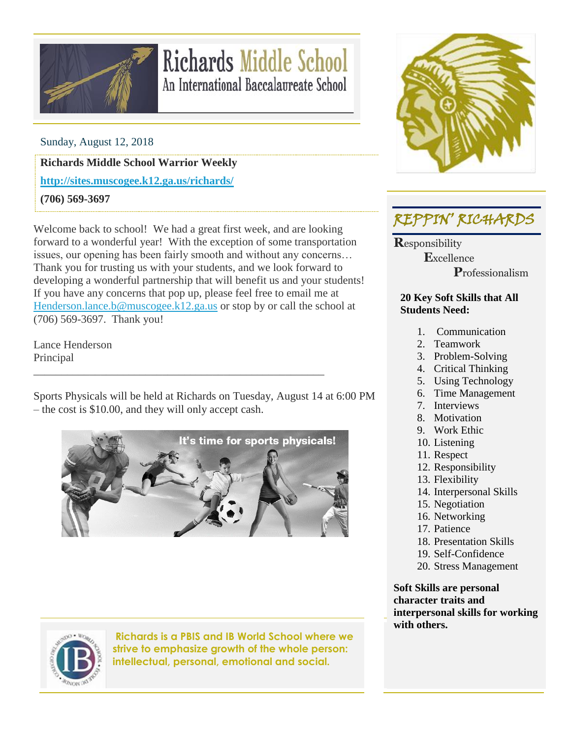

# **Richards Middle School** An International Baccalaureate School

Sunday, August 12, 2018

**Richards Middle School Warrior Weekly**

**<http://sites.muscogee.k12.ga.us/richards/>**

**(706) 569-3697**

Welcome back to school! We had a great first week, and are looking forward to a wonderful year! With the exception of some transportation issues, our opening has been fairly smooth and without any concerns… Thank you for trusting us with your students, and we look forward to developing a wonderful partnership that will benefit us and your students! If you have any concerns that pop up, please feel free to email me at [Henderson.lance.b@muscogee.k12.ga.us](mailto:Henderson.lance.b@muscogee.k12.ga.us) or stop by or call the school at (706) 569-3697. Thank you!

Lance Henderson Principal

Sports Physicals will be held at Richards on Tuesday, August 14 at 6:00 PM – the cost is \$10.00, and they will only accept cash.

\_\_\_\_\_\_\_\_\_\_\_\_\_\_\_\_\_\_\_\_\_\_\_\_\_\_\_\_\_\_\_\_\_\_\_\_\_\_\_\_\_\_\_\_\_\_\_\_\_\_\_\_





**Richards is a PBIS and IB World School where we strive to emphasize growth of the whole person: intellectual, personal, emotional and social.**



#### REPPIN' RICHARDS

**R**esponsibility  **E**xcellence  **P**rofessionalism

#### **20 Key Soft Skills that All Students Need:**

- 1. Communication
- 2. Teamwork
- 3. Problem-Solving
- 4. Critical Thinking
- 5. Using Technology
- 6. Time Management
- 7. Interviews
- 8. Motivation
- 9. Work Ethic
- 10. Listening
- 11. Respect
- 12. Responsibility
- 13. Flexibility
- 14. Interpersonal Skills
- 15. Negotiation
- 16. Networking
- 17. Patience
- 18. Presentation Skills
- 19. Self-Confidence
- 20. Stress Management

**Soft Skills are personal character traits and interpersonal skills for working with others.**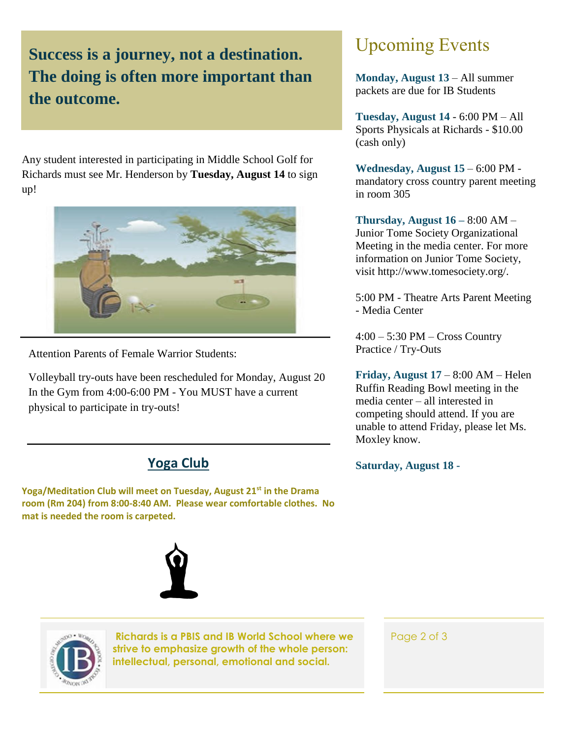### **Success is a journey, not a destination. The doing is often more important than the outcome.**

Any student interested in participating in Middle School Golf for Richards must see Mr. Henderson by **Tuesday, August 14** to sign up!



Attention Parents of Female Warrior Students:

Volleyball try-outs have been rescheduled for Monday, August 20 In the Gym from 4:00-6:00 PM - You MUST have a current physical to participate in try-outs!

#### **Yoga Club**

**Yoga/Meditation Club will meet on Tuesday, August 21st in the Drama room (Rm 204) from 8:00-8:40 AM. Please wear comfortable clothes. No mat is needed the room is carpeted.**





**Richards is a PBIS and IB World School where we strive to emphasize growth of the whole person: intellectual, personal, emotional and social.**

## Upcoming Events

**Monday, August 13** – All summer packets are due for IB Students

**Tuesday, August 14** - 6:00 PM – All Sports Physicals at Richards - \$10.00 (cash only)

**Wednesday, August 15** – 6:00 PM mandatory cross country parent meeting in room 305

**Thursday, August 16 –** 8:00 AM – Junior Tome Society Organizational Meeting in the media center. For more information on Junior Tome Society, visit http://www.tomesociety.org/.

5:00 PM - Theatre Arts Parent Meeting - Media Center

4:00 – 5:30 PM – Cross Country Practice / Try-Outs

**Friday, August 17** – 8:00 AM – Helen Ruffin Reading Bowl meeting in the media center – all interested in competing should attend. If you are unable to attend Friday, please let Ms. Moxley know.

**Saturday, August 18 -**

Page 2 of 3